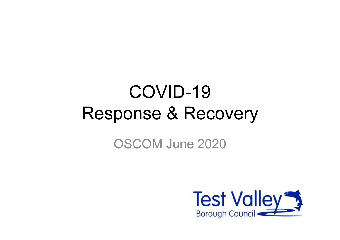# COVID-19 Response & Recovery

OSCOM June 2020

 $\tilde{R}$  .

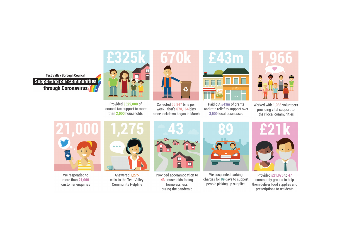**Test Valley Borough Council Supporting our communities** through Coronavirus



Provided £325,000 of council tax support to more than 2,000 households



Collected 55,847 bins per week - that's 670,164 bins since lockdown began in March



Paid out £43m of grants and rate relief to support over 3,500 local businesses



Worked with 1,966 volunteers providing vital support to their local communities



We responded to more than 21,000 customer enquiries



Answered 1,275 calls to the Test Valley **Community Helpline** 



Provided accommodation to 43 households facing homelessness during the pandemic



We suspended parking charges for 89 days to support people picking up supplies



Provided £21,075 to 47 community groups to help them deliver food supplies and prescriptions to residents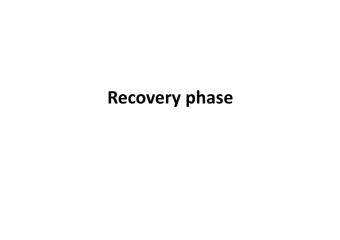## Recovery phase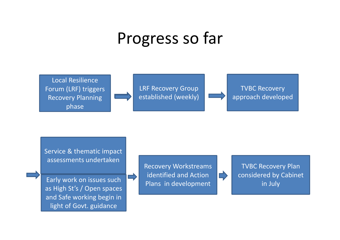### Progress so far



Service & thematic impact assessments undertaken

Early work on issues such as High St's / Open spaces and Safe working begin in light of Govt. guidance



 $\equiv$ 

TVBC Recovery Plan considered by Cabinet in July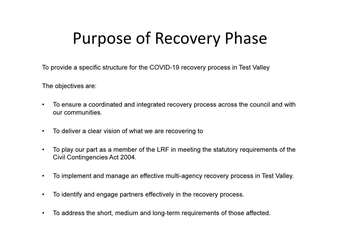### Purpose of Recovery Phase

To provide a specific structure for the COVID-19 recovery process in Test Valley

The objectives are:

- $\bullet$  To ensure a coordinated and integrated recovery process across the council and with our communities.
- $\bullet$ To deliver a clear vision of what we are recovering to
- $\bullet$  To play our part as a member of the LRF in meeting the statutory requirements of the Civil Contingencies Act 2004.
- $\bullet$ To implement and manage an effective multi-agency recovery process in Test Valley.
- $\bullet$ To identify and engage partners effectively in the recovery process.
- $\bullet$ To address the short, medium and long-term requirements of those affected.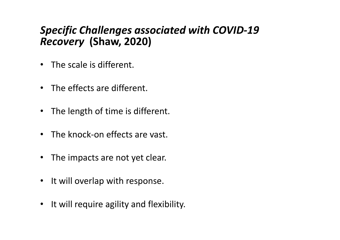#### Specific Challenges associated with COVID-19 Recovery (Shaw, 2020)

- The scale is different.
- The effects are different.
- The length of time is different.
- The knock-on effects are vast.
- The impacts are not yet clear.
- It will overlap with response.
- It will require agility and flexibility.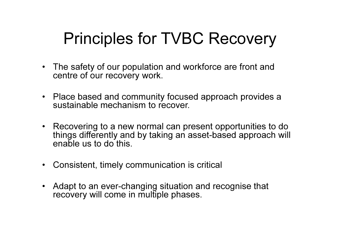### Principles for TVBC Recovery

- The safety of our population and workforce are front and centre of our recovery work.
- Place based and community focused approach provides a sustainable mechanism to recover.
- Recovering to a new normal can present opportunities to do things differently and by taking an asset-based approach will enable us to do this.
- Consistent, timely communication is critical
- Adapt to an ever-changing situation and recognise that recovery will come in multiple phases.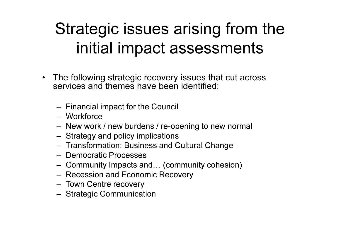### Strategic issues arising from the initial impact assessments

- $\bullet$  The following strategic recovery issues that cut across services and themes have been identified:
	- –Financial impact for the Council
	- Workforce
	- New worl New work / new burdens / re-opening to new normal
	- Strategy and policy implications
	- Transformation: Business and Cultural Change
	- Democratic Processes
	- –Community Impacts and… (community cohesion)
	- –Recession and Economic Recovery
	- –Town Centre recovery
	- Strategic Communics Strategic Communication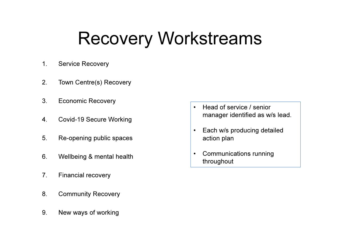## Recovery Workstreams

- 1. Service Recovery
- 2. Town Centre(s) Recovery
- 3. Economic Recovery
- 4. Covid-19 Secure Working
- 5. Re-opening public spaces
- 6. Wellbeing & mental health
- 7. Financial recovery
- 8. Community Recovery
- 9. New ways of working
- • Head of service / senior manager identified as w/s lead.
- • Each w/s producing detailed action plan
- • Communications running throughout